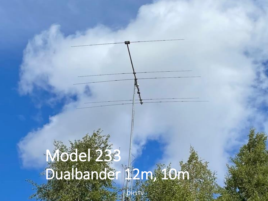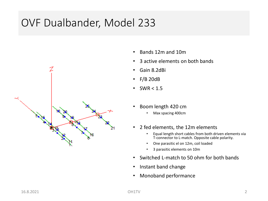# OVF Dualbander, Model 233



- Bands 12m and 10m
- 3 active elements on both bands
- Gain 8.2dBi
- F/B 20dB
- SWR  $< 1.5$
- Boom length 420 cm
	- Max spacing 400cm
- 2 fed elements, the 12m elements
	- Equal length short cables from both driven elements via T-connector to L-match. Opposite cable polarity.
	- One parasitic el on 12m, coil loaded
	- 3 parasitic elements on 10m
- Switched L-match to 50 ohm for both bands
- Instant band change
- Monoband performance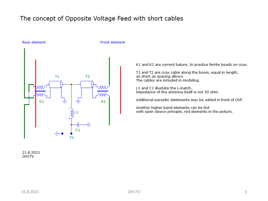#### The concept of Opposite Voltage Feed with short cables



Rear element

#### Front element

K1 and K2 are current baluns. In practice ferrite beads on coax.

T1 and T2 are coax cable along the boom, equal in length, as short as spacing allows.<br>The cables are included in modeling.

L1 and C1 illustate the L-match. Impedance of the antenna itself is not 50 ohm.

Additional parasitic elelements may be added in front of OVF.

Another higher band elements can be fed with open sleeve principle, red elements in the picture.

21.8.2021 OH<sub>1</sub>TV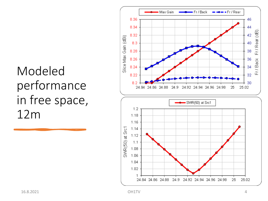# Modeled performance in free space,  $12m$

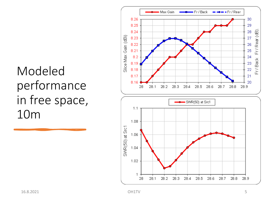# Modeled performance in free space, 10<sub>m</sub>

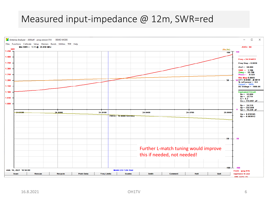## Measured input-impedance @ 12m, SWR=red

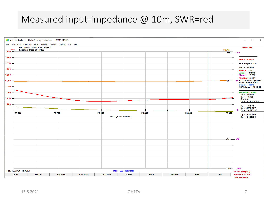### Measured input-impedance @ 10m, SWR=red

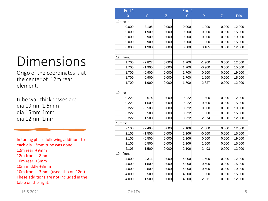# Dimensions

Origo of the coordinates is at the center of 12m rear element.

tube wall thicknesses are: dia 19mm 1.5mm dia 15mm 1mm dia 12mm 1mm

In tuning phase following additions to each dia 12mm tube was done: 12m rear +9mm 12m front + 8mm 10m rear +3mm 10m middle +3mm 10m front +3mm (used also on 12m) These additions are not included in the table on the right.

| End 1     | End <sub>2</sub> |              |                |          |       |        |
|-----------|------------------|--------------|----------------|----------|-------|--------|
| X         | Y                | $\mathsf{Z}$ | $\overline{X}$ | Y        | Z     | Dia    |
| 12m rear  |                  |              |                |          |       |        |
| 0.000     | $-3.105$         | 0.000        | 0.000          | $-1.900$ | 0.000 | 12.000 |
| 0.000     | $-1.900$         | 0.000        | 0.000          | $-0.900$ | 0.000 | 15.000 |
| 0.000     | $-0.900$         | 0.000        | 0.000          | 0.900    | 0.000 | 19.000 |
| 0.000     | 0.900            | 0.000        | 0.000          | 1.900    | 0.000 | 15.000 |
| 0.000     | 1.900            | 0.000        | 0.000          | 3.105    | 0.000 | 12.000 |
|           |                  |              |                |          |       |        |
| 12m front |                  |              |                |          |       |        |
| 1.700     | $-2.827$         | 0.000        | 1.700          | $-1.900$ | 0.000 | 12.000 |
| 1.700     | $-1.900$         | 0.000        | 1.700          | $-0.900$ | 0.000 | 15.000 |
| 1.700     | $-0.900$         | 0.000        | 1.700          | 0.900    | 0.000 | 19.000 |
| 1.700     | 0.900            | 0.000        | 1.700          | 1.900    | 0.000 | 15.000 |
| 1.700     | 1.900            | 0.000        | 1.700          | 2.827    | 0.000 | 12.000 |
|           |                  |              |                |          |       |        |
| 10m rear  |                  |              |                |          |       |        |
| 0.222     | $-2.674$         | 0.000        | 0.222          | $-1.500$ | 0.000 | 12.000 |
| 0.222     | $-1.500$         | 0.000        | 0.222          | $-0.500$ | 0.000 | 15.000 |
| 0.222     | $-0.500$         | 0.000        | 0.222          | 0.500    | 0.000 | 19.000 |
| 0.222     | 0.500            | 0.000        | 0.222          | 1.500    | 0.000 | 15.000 |
| 0.222     | 1.500            | 0.000        | 0.222          | 2.674    | 0.000 | 12.000 |
| 10m mid   |                  |              |                |          |       |        |
| 2.106     | $-2.493$         | 0.000        | 2.106          | $-1.500$ | 0.000 | 12.000 |
| 2.106     | $-1.500$         | 0.000        | 2.106          | $-0.500$ | 0.000 | 15.000 |
| 2.106     | $-0.500$         | 0.000        | 2.106          | 0.500    | 0.000 | 19.000 |
| 2.106     | 0.500            | 0.000        | 2.106          | 1.500    | 0.000 | 15.000 |
| 2.106     | 1.500            | 0.000        | 2.106          | 2.493    | 0.000 | 12.000 |
| 10m front |                  |              |                |          |       |        |
| 4.000     | $-2.311$         | 0.000        | 4.000          | $-1.500$ | 0.000 | 12.000 |
| 4.000     | $-1.500$         | 0.000        | 4.000          | $-0.500$ | 0.000 | 15.000 |
| 4.000     | $-0.500$         | 0.000        | 4.000          | 0.500    | 0.000 | 19.000 |
| 4.000     | 0.500            | 0.000        | 4.000          | 1.500    | 0.000 | 15.000 |
| 4.000     | 1.500            | 0.000        | 4.000          | 2.311    | 0.000 | 12.000 |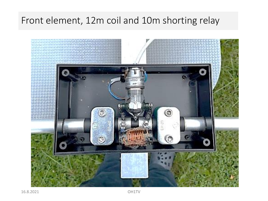# Front element, 12m coil and 10m shorting relay

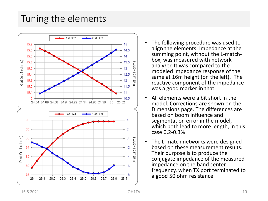## Tuning the elements



- The following procedure was used to align the elements: Impedance at the summing point, without the L-matchbox, was measured with network analyzer. It was compared to the modeled impedance response of the same at 16m height (on the left). The reactive component of the impedance was a good marker in that.
- All elements were a bit short in the model. Corrections are shown on the Dimensions page. The differences are based on boom influence and segmentation error in the model, which both lead to more length, in this case 0.2-0.3%
- The L-match networks were designed based on these measurement results. Their purpose is to produce the conjugate impedance of the measured impedance on the band center frequency, when TX port terminated to a good 50 ohm resistance.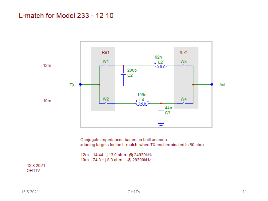#### L-match for Model 233 - 12 10



Conjugate impedances based on built antenna = tuning targets for the L-match, when TX-end terminated to 50 ohm.

12m: 14.44 - j 13.0 ohm @ 24930kHz 10m: 74.3 + j 8.3 ohm @ 28300kHz

12.8.2021 OH<sub>1</sub>TV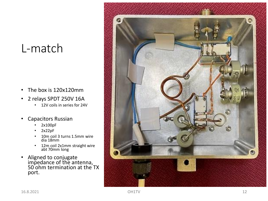# L -match

- The box is 120x120mm
- 2 relays SPDT 250V 16A
	- 12V coils in series for 24V
- Capacitors Russian
	- 2x100pF
	- 2x22pF
	- 10m coil 3 turns 1.5mm wire dia 18mm
	- 12m coil 2x1mm straight wire abt 70mm long
- Aligned to conjugate impedance of the antenna, 50 ohm termination at the TX port.

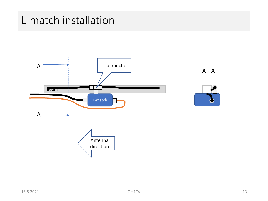# L-match installation



A - A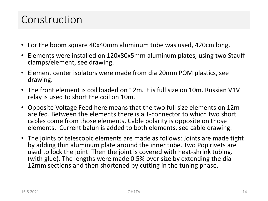# Construction

- For the boom square 40x40mm aluminum tube was used, 420cm long.
- Elements were installed on 120x80x5mm aluminum plates, using two Stauff clamps/element, see drawing.
- Element center isolators were made from dia 20mm POM plastics, see drawing.
- The front element is coil loaded on 12m. It is full size on 10m. Russian V1V relay is used to short the coil on 10m.
- Opposite Voltage Feed here means that the two full size elements on 12m are fed. Between the elements there is a T-connector to which two short cables come from those elements. Cable polarity is opposite on those elements. Current balun is added to both elements, see cable drawing.
- The joints of telescopic elements are made as follows: Joints are made tight by adding thin aluminum plate around the inner tube. Two Pop rivets are used to lock the joint. Then the joint is covered with heat-shrink tubing. (with glue). The lengths were made 0.5% over size by extending the dia 12mm sections and then shortened by cutting in the tuning phase.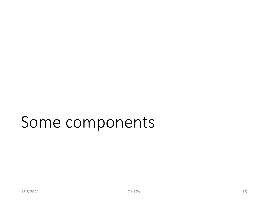# Some components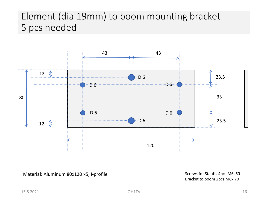## Element (dia 19mm) to boom mounting bracket 5 pcs needed



Material: Aluminum 80x120 x5, I-profile

Screws for Stauffs 4pcs M6x60 Bracket to boom 2pcs M6x 70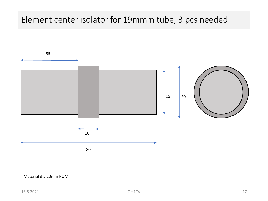### Element center isolator for 19mmm tube, 3 pcs needed



#### Material dia 20mm POM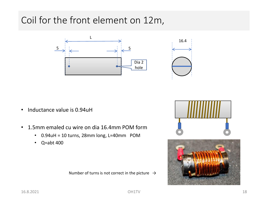# Coil for the front element on 12m,





- Inductance value is 0.94uH
- 1.5mm emaled cu wire on dia 16.4mm POM form
	- 0.94uH = 10 turns, 28mm long, L=40mm POM
	- Q=abt 400

Number of turns is not correct in the picture  $\rightarrow$ 



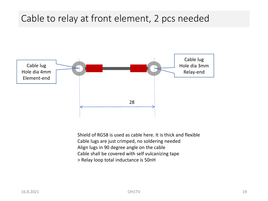## Cable to relay at front element, 2 pcs needed



Shield of RG58 is used as cable here. It is thick and flexible Cable lugs are just crimped, no soldering needed Align lugs in 90 degree angle on the cable Cable shall be covered with self vulcanizing tape > Relay loop total inductance is 50nH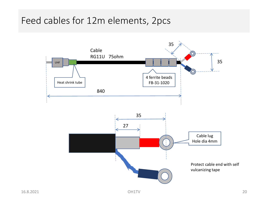## Feed cables for 12m elements, 2pcs